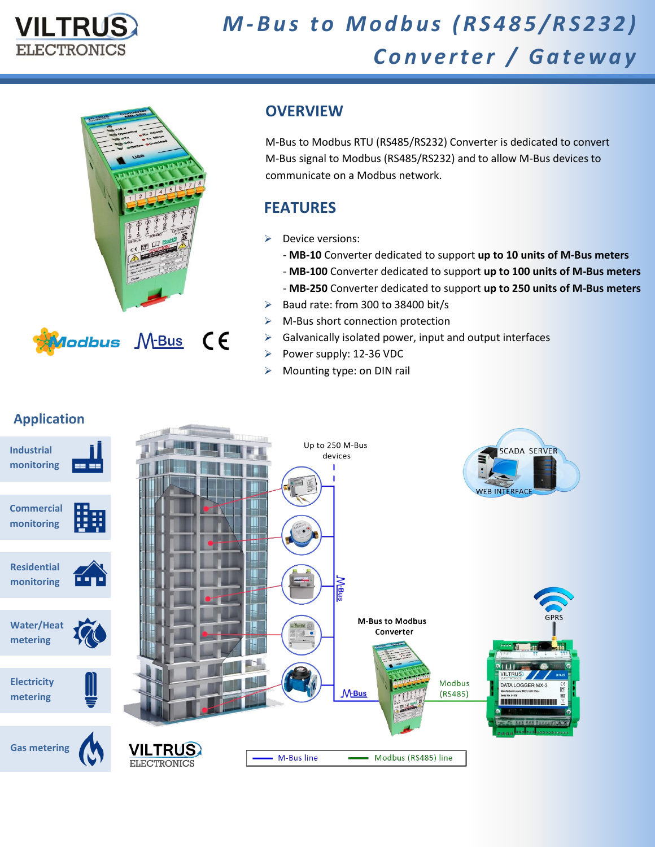



## **OVERVIEW**

M-Bus to Modbus RTU (RS485/RS232) Converter is dedicated to convert M-Bus signal to Modbus (RS485/RS232) and to allow M-Bus devices to communicate on a Modbus network.

## **FEATURES**

- $\triangleright$  Device versions:
	- **MB-10** Converter dedicated to support **up to 10 units of M-Bus meters**
	- **MB-100** Converter dedicated to support **up to 100 units of M-Bus meters**
	- **MB-250** Converter dedicated to support **up to 250 units of M-Bus meters**
- $\triangleright$  Baud rate: from 300 to 38400 bit/s
- $\triangleright$  M-Bus short connection protection
- $\triangleright$  Galvanically isolated power, input and output interfaces
- Power supply:  $12-36$  VDC
- $\triangleright$  Mounting type: on DIN rail